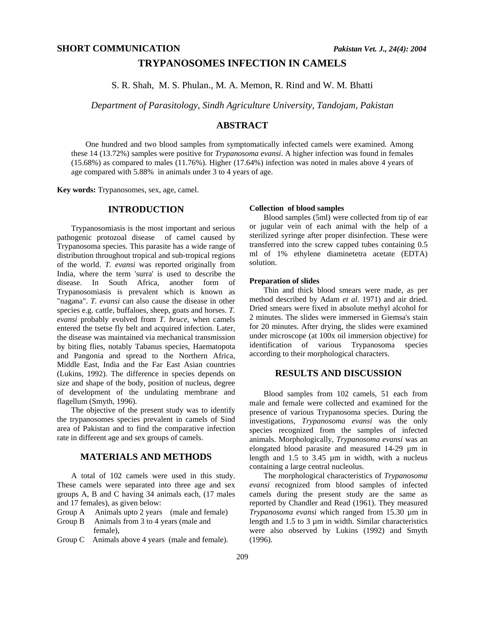## **TRYPANOSOMES INFECTION IN CAMELS**

S. R. Shah, M. S. Phulan., M. A. Memon, R. Rind and W. M. Bhatti

*Department of Parasitology, Sindh Agriculture University, Tandojam, Pakistan* 

## **ABSTRACT**

One hundred and two blood samples from symptomatically infected camels were examined. Among these 14 (13.72%) samples were positive for *Trypanosoma evansi*. A higher infection was found in females (15.68%) as compared to males (11.76%). Higher (17.64%) infection was noted in males above 4 years of age compared with 5.88% in animals under 3 to 4 years of age.

**Key words:** Trypanosomes, sex, age, camel.

## **INTRODUCTION**

Trypanosomiasis is the most important and serious pathogenic protozoal disease of camel caused by Trypanosoma species. This parasite has a wide range of distribution throughout tropical and sub-tropical regions of the world. *T. evansi* was reported originally from India, where the term 'surra' is used to describe the disease. In South Africa, another form of Trypanosomiasis is prevalent which is known as "nagana". *T. evansi* can also cause the disease in other species e.g. cattle, buffaloes, sheep, goats and horses. *T. evansi* probably evolved from *T. bruce,* when camels entered the tsetse fly belt and acquired infection. Later, the disease was maintained via mechanical transmission by biting flies, notably Tabanus species, Haematopota and Pangonia and spread to the Northern Africa, Middle East, India and the Far East Asian countries (Lukins, 1992). The difference in species depends on size and shape of the body, position of nucleus, degree of development of the undulating membrane and flagellum (Smyth, 1996).

The objective of the present study was to identify the trypanosomes species prevalent in camels of Sind area of Pakistan and to find the comparative infection rate in different age and sex groups of camels.

# **MATERIALS AND METHODS**

A total of 102 camels were used in this study. These camels were separated into three age and sex groups A, B and C having 34 animals each, (17 males and 17 females), as given below:

- Group A Animals upto 2 years (male and female)
- Group B Animals from 3 to 4 years (male and female),
- Group C Animals above 4 years (male and female).

### **Collection of blood samples**

Blood samples (5ml) were collected from tip of ear or jugular vein of each animal with the help of a sterilized syringe after proper disinfection. These were transferred into the screw capped tubes containing 0.5 ml of 1% ethylene diaminetetra acetate (EDTA) solution.

#### **Preparation of slides**

Thin and thick blood smears were made, as per method described by Adam *et al*. 1971) and air dried. Dried smears were fixed in absolute methyl alcohol for 2 minutes. The slides were immersed in Giemsa's stain for 20 minutes. After drying, the slides were examined under microscope (at 100x oil immersion objective) for identification of various Trypanosoma species according to their morphological characters.

#### **RESULTS AND DISCUSSION**

Blood samples from 102 camels, 51 each from male and female were collected and examined for the presence of various Trypanosoma species. During the investigations, *Trypanosoma evansi* was the only species recognized from the samples of infected animals. Morphologically, *Trypanosoma evansi* was an elongated blood parasite and measured 14-29 µm in length and 1.5 to 3.45 µm in width, with a nucleus containing a large central nucleolus.

The morphological characteristics of *Trypanosoma evansi* recognized from blood samples of infected camels during the present study are the same as reported by Chandler and Read (1961). They measured *Trypanosoma evansi* which ranged from 15.30 µm in length and 1.5 to 3  $\mu$ m in width. Similar characteristics were also observed by Lukins (1992) and Smyth (1996).